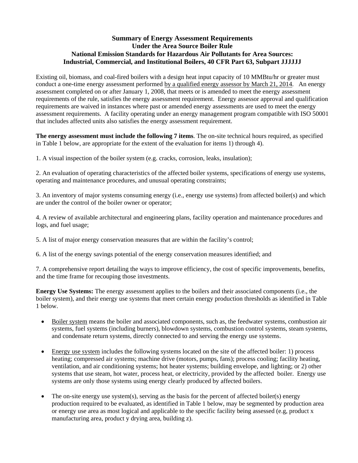## **Summary of Energy Assessment Requirements Under the Area Source Boiler Rule National Emission Standards for Hazardous Air Pollutants for Area Sources: Industrial, Commercial, and Institutional Boilers, 40 CFR Part 63, Subpart JJJJJJ**

Existing oil, biomass, and coal-fired boilers with a design heat input capacity of 10 MMBtu/hr or greater must conduct a one-time energy assessment performed by a qualified energy assessor by March 21, 2014. An energy assessment completed on or after January 1, 2008, that meets or is amended to meet the energy assessment requirements of the rule, satisfies the energy assessment requirement. Energy assessor approval and qualification requirements are waived in instances where past or amended energy assessments are used to meet the energy assessment requirements. A facility operating under an energy management program compatible with ISO 50001 that includes affected units also satisfies the energy assessment requirement.

**The energy assessment must include the following 7 items**. The on-site technical hours required, as specified in Table 1 below, are appropriate for the extent of the evaluation for items 1) through 4).

1. A visual inspection of the boiler system (e.g. cracks, corrosion, leaks, insulation);

2. An evaluation of operating characteristics of the affected boiler systems, specifications of energy use systems, operating and maintenance procedures, and unusual operating constraints;

3. An inventory of major systems consuming energy (i.e., energy use systems) from affected boiler(s) and which are under the control of the boiler owner or operator;

4. A review of available architectural and engineering plans, facility operation and maintenance procedures and logs, and fuel usage;

5. A list of major energy conservation measures that are within the facility's control;

6. A list of the energy savings potential of the energy conservation measures identified; and

7. A comprehensive report detailing the ways to improve efficiency, the cost of specific improvements, benefits, and the time frame for recouping those investments.

**Energy Use Systems:** The energy assessment applies to the boilers and their associated components (i.e., the boiler system), and their energy use systems that meet certain energy production thresholds as identified in Table 1 below.

- Boiler system means the boiler and associated components, such as, the feedwater systems, combustion air systems, fuel systems (including burners), blowdown systems, combustion control systems, steam systems, and condensate return systems, directly connected to and serving the energy use systems.
- Energy use system includes the following systems located on the site of the affected boiler: 1) process heating; compressed air systems; machine drive (motors, pumps, fans); process cooling; facility heating, ventilation, and air conditioning systems; hot heater systems; building envelope, and lighting; or 2) other systems that use steam, hot water, process heat, or electricity, provided by the affected boiler. Energy use systems are only those systems using energy clearly produced by affected boilers.
- The on-site energy use system(s), serving as the basis for the percent of affected boiler(s) energy production required to be evaluated, as identified in Table 1 below, may be segmented by production area or energy use area as most logical and applicable to the specific facility being assessed (e.g, product x manufacturing area, product y drying area, building z).